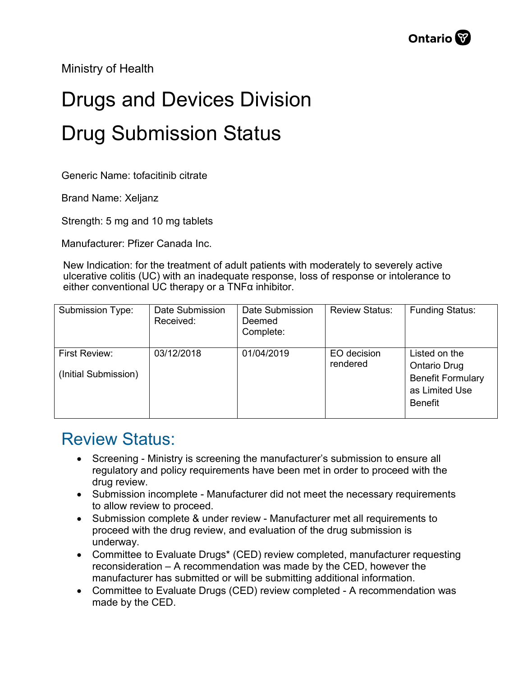Ministry of Health

## Drugs and Devices Division Drug Submission Status

Generic Name: tofacitinib citrate

Brand Name: Xeljanz

Strength: 5 mg and 10 mg tablets

Manufacturer: Pfizer Canada Inc.

New Indication: for the treatment of adult patients with moderately to severely active ulcerative colitis (UC) with an inadequate response, loss of response or intolerance to either conventional UC therapy or a TNFα inhibitor.

| Submission Type:                      | Date Submission<br>Received: | Date Submission<br>Deemed<br>Complete: | <b>Review Status:</b>   | <b>Funding Status:</b>                                                                               |
|---------------------------------------|------------------------------|----------------------------------------|-------------------------|------------------------------------------------------------------------------------------------------|
| First Review:<br>(Initial Submission) | 03/12/2018                   | 01/04/2019                             | EO decision<br>rendered | Listed on the<br><b>Ontario Drug</b><br><b>Benefit Formulary</b><br>as Limited Use<br><b>Benefit</b> |

## Review Status:

- Screening Ministry is screening the manufacturer's submission to ensure all regulatory and policy requirements have been met in order to proceed with the drug review.
- Submission incomplete Manufacturer did not meet the necessary requirements to allow review to proceed.
- Submission complete & under review Manufacturer met all requirements to proceed with the drug review, and evaluation of the drug submission is underway.
- Committee to Evaluate Drugs\* (CED) review completed, manufacturer requesting reconsideration – A recommendation was made by the CED, however the manufacturer has submitted or will be submitting additional information.
- Committee to Evaluate Drugs (CED) review completed A recommendation was made by the CED.